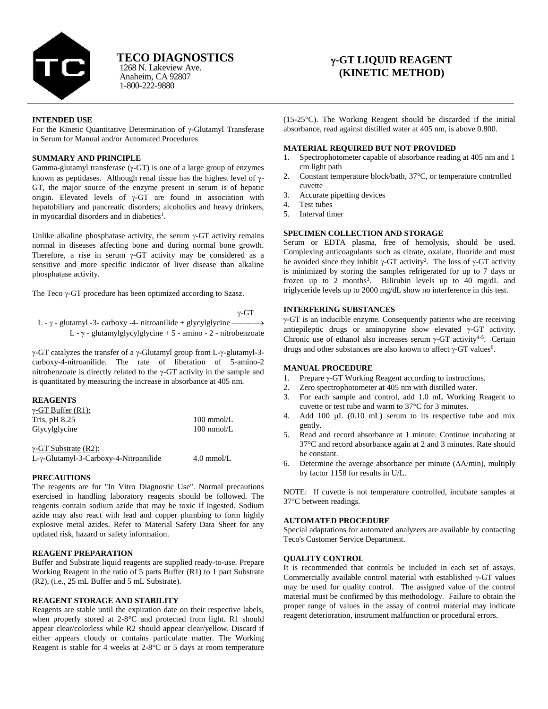

# **TECO DIAGNOSTICS**

Anaheim, CA 92807 1-800-222-9880 1268 N. Lakeview Ave.

# **-GT LIQUID REAGENT (KINETIC METHOD)**

# **INTENDED USE**

For the Kinetic Quantitative Determination of  $\gamma$ -Glutamyl Transferase in Serum for Manual and/or Automated Procedures

# **SUMMARY AND PRINCIPLE**

Gamma-glutamyl transferase  $(\gamma$ -GT) is one of a large group of enzymes known as peptidases. Although renal tissue has the highest level of  $\gamma$ -GT, the major source of the enzyme present in serum is of hepatic origin. Elevated levels of  $\gamma$ -GT are found in association with hepatobiliary and pancreatic disorders; alcoholics and heavy drinkers, in myocardial disorders and in diabetics<sup>1</sup>.

Unlike alkaline phosphatase activity, the serum  $\gamma$ -GT activity remains normal in diseases affecting bone and during normal bone growth. Therefore, a rise in serum  $\gamma$ -GT activity may be considered as a sensitive and more specific indicator of liver disease than alkaline phosphatase activity.

The Teco  $\gamma$ -GT procedure has been optimized according to Szasz.

 $v$ -GT

L -  $\gamma$  - glutamyl -3- carboxy -4- nitroanilide + glycylglycine  $\rightarrow$ L -  $\gamma$  - glutamylglycylglycine + 5 - amino - 2 - nitrobenzoate

 $\gamma$ -GT catalyzes the transfer of a  $\gamma$ -Glutamyl group from L- $\gamma$ -glutamyl-3carboxy-4-nitroanilide. The rate of liberation of 5-amino-2 nitrobenzoate is directly related to the  $\gamma$ -GT activity in the sample and is quantitated by measuring the increase in absorbance at 405 nm.

# **REAGENTS**

| $\gamma$ -GT Buffer (R1): |                      |
|---------------------------|----------------------|
| Tris, $pH\$ $8.25$        | $100 \text{ mmol/L}$ |
| Glycylglycine             | $100 \text{ mmol/L}$ |

 $\gamma$ -GT Substrate (R2):

L-γ-Glutamyl-3-Carboxy-4-Nitroanilide 4.0 mmol/L

# **PRECAUTIONS**

The reagents are for "In Vitro Diagnostic Use". Normal precautions exercised in handling laboratory reagents should be followed. The reagents contain sodium azide that may be toxic if ingested. Sodium azide may also react with lead and copper plumbing to form highly explosive metal azides. Refer to Material Safety Data Sheet for any updated risk, hazard or safety information.

# **REAGENT PREPARATION**

Buffer and Substrate liquid reagents are supplied ready-to-use. Prepare Working Reagent in the ratio of 5 parts Buffer (R1) to 1 part Substrate (R2), (i.e., 25 mL Buffer and 5 mL Substrate).

# **REAGENT STORAGE AND STABILITY**

Reagents are stable until the expiration date on their respective labels, when properly stored at 2-8°C and protected from light. R1 should appear clear/colorless while R2 should appear clear/yellow. Discard if either appears cloudy or contains particulate matter. The Working Reagent is stable for 4 weeks at 2-8°C or 5 days at room temperature

(15-25°C). The Working Reagent should be discarded if the initial absorbance, read against distilled water at 405 nm, is above 0.800.

#### **MATERIAL REQUIRED BUT NOT PROVIDED**

- 1. Spectrophotometer capable of absorbance reading at 405 nm and 1 cm light path
- 2. Constant temperature block/bath, 37°C, or temperature controlled cuvette
- 3. Accurate pipetting devices
- 4. Test tubes
- 5. Interval timer

# **SPECIMEN COLLECTION AND STORAGE**

Serum or EDTA plasma, free of hemolysis, should be used. Complexing anticoagulants such as citrate, oxalate, fluoride and must be avoided since they inhibit  $\gamma$ -GT activity<sup>2</sup>. The loss of  $\gamma$ -GT activity is minimized by storing the samples refrigerated for up to 7 days or frozen up to 2 months<sup>3</sup>. Bilirubin levels up to 40 mg/dL and triglyceride levels up to 2000 mg/dL show no interference in this test.

# **INTERFERING SUBSTANCES**

 $\gamma$ -GT is an inducible enzyme. Consequently patients who are receiving antiepileptic drugs or aminopyrine show elevated  $\gamma$ -GT activity. Chronic use of ethanol also increases serum  $\gamma$ -GT activity<sup>4-5</sup>. Certain drugs and other substances are also known to affect  $\gamma$ -GT values<sup>6</sup>.

# **MANUAL PROCEDURE**

- 1. Prepare  $\gamma$ -GT Working Reagent according to instructions.
- 2. Zero spectrophotometer at 405 nm with distilled water.
- 3. For each sample and control, add 1.0 mL Working Reagent to cuvette or test tube and warm to 37°C for 3 minutes.
- 4. Add 100 µL (0.10 mL) serum to its respective tube and mix gently.
- 5. Read and record absorbance at 1 minute. Continue incubating at 37°C and record absorbance again at 2 and 3 minutes. Rate should be constant.
- 6. Determine the average absorbance per minute  $(\Delta A/\text{min})$ , multiply by factor 1158 for results in U/L.

NOTE: If cuvette is not temperature controlled, incubate samples at 37°C between readings.

# **AUTOMATED PROCEDURE**

Special adaptations for automated analyzers are available by contacting Teco's Customer Service Department.

# **QUALITY CONTROL**

It is recommended that controls be included in each set of assays. Commercially available control material with established  $\gamma$ -GT values may be used for quality control. The assigned value of the control material must be confirmed by this methodology. Failure to obtain the proper range of values in the assay of control material may indicate reagent deterioration, instrument malfunction or procedural errors.